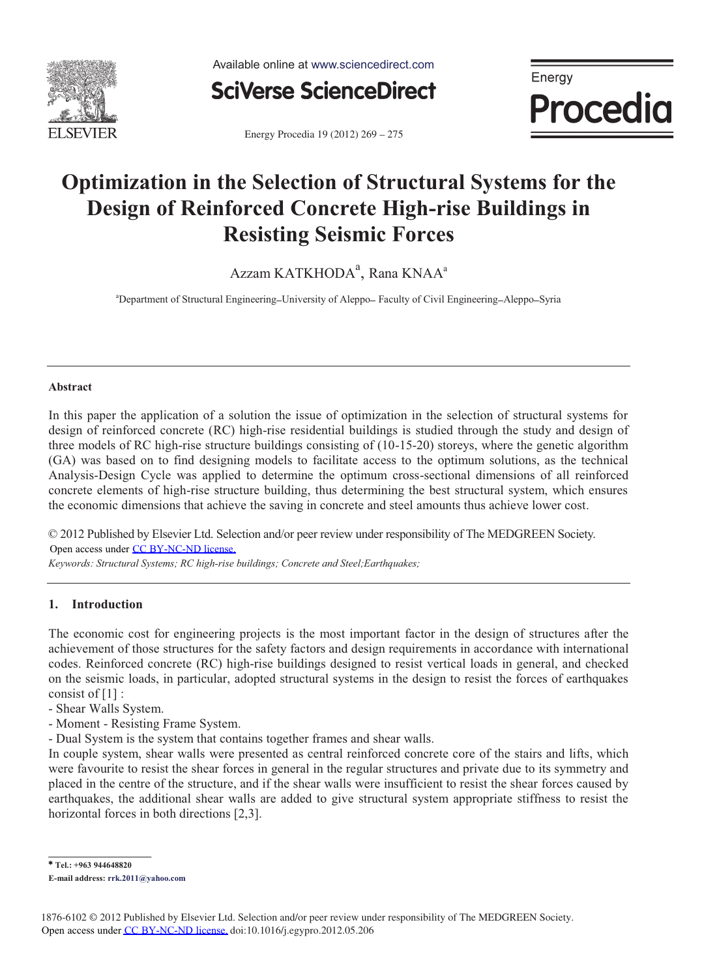

Available online at www.sciencedirect.com



Energy **Procedia** 

Energy Procedia 19 (2012) 269 - 275

## **Optimization in the Selection of Structural Systems for the Design of Reinforced Concrete High-rise Buildings in Resisting Seismic Forces**

Azzam KATKHODA $^{\rm a}$ , Rana KNAA $^{\rm a}$ 

<sup>a</sup>Department of Structural Engineering-University of Aleppo-Faculty of Civil Engineering-Aleppo-Syria

## **Abstract**

In this paper the application of a solution the issue of optimization in the selection of structural systems for design of reinforced concrete (RC) high-rise residential buildings is studied through the study and design of three models of RC high-rise structure buildings consisting of (10-15-20) storeys, where the genetic algorithm (GA) was based on to find designing models to facilitate access to the optimum solutions, as the technical Analysis-Design Cycle was applied to determine the optimum cross-sectional dimensions of all reinforced concrete elements of high-rise structure building, thus determining the best structural system, which ensures the economic dimensions that achieve the saving in concrete and steel amounts thus achieve lower cost.

© 2012 Published by Elsevier Ltd. Selection and/or peer review under responsibility of The MEDGREEN Society. Open access under [CC BY-NC-ND license.](http://creativecommons.org/licenses/by-nc-nd/3.0/)

*Keywords: Structural Systems; RC high-rise buildings; Concrete and Steel;Earthquakes;*

## **1. Introduction**

The economic cost for engineering projects is the most important factor in the design of structures after the achievement of those structures for the safety factors and design requirements in accordance with international codes. Reinforced concrete (RC) high-rise buildings designed to resist vertical loads in general, and checked on the seismic loads, in particular, adopted structural systems in the design to resist the forces of earthquakes consist of [1] :

- Shear Walls System.
- Moment Resisting Frame System.
- Dual System is the system that contains together frames and shear walls.

In couple system, shear walls were presented as central reinforced concrete core of the stairs and lifts, which were favourite to resist the shear forces in general in the regular structures and private due to its symmetry and placed in the centre of the structure, and if the shear walls were insufficient to resist the shear forces caused by earthquakes, the additional shear walls are added to give structural system appropriate stiffness to resist the horizontal forces in both directions [2,3].

<sup>\*</sup> **Tel.: +963 944648820** 

**E-mail address: rrk.2011@yahoo.com**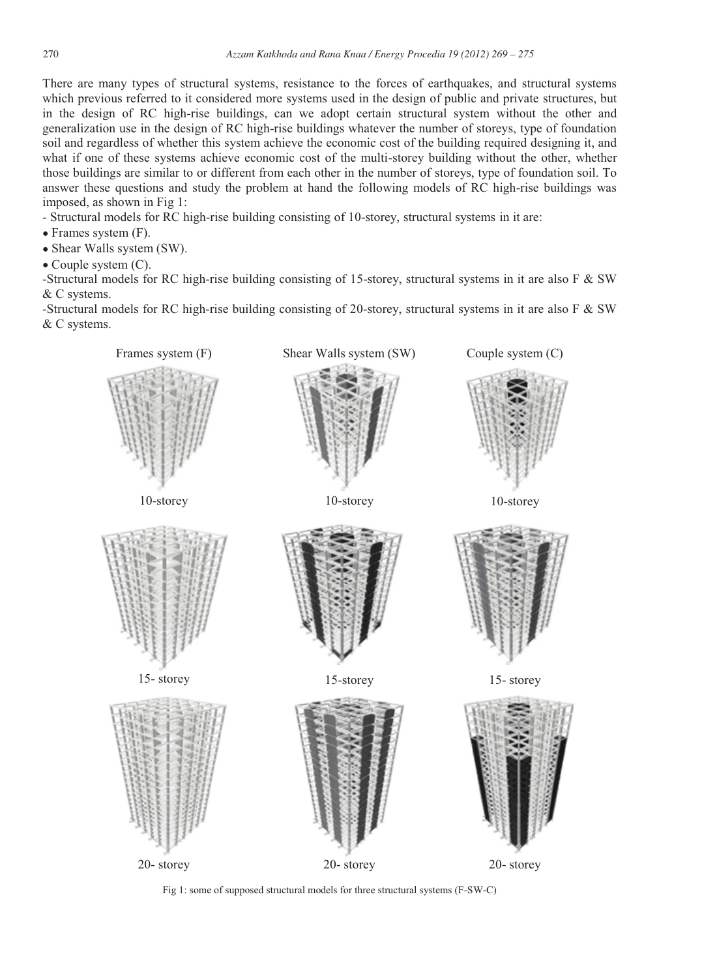There are many types of structural systems, resistance to the forces of earthquakes, and structural systems which previous referred to it considered more systems used in the design of public and private structures, but in the design of RC high-rise buildings, can we adopt certain structural system without the other and generalization use in the design of RC high-rise buildings whatever the number of storeys, type of foundation soil and regardless of whether this system achieve the economic cost of the building required designing it, and what if one of these systems achieve economic cost of the multi-storey building without the other, whether those buildings are similar to or different from each other in the number of storeys, type of foundation soil. To answer these questions and study the problem at hand the following models of RC high-rise buildings was imposed, as shown in Fig 1:

- Structural models for RC high-rise building consisting of 10-storey, structural systems in it are:

- Frames system (F).
- Shear Walls system (SW).
- Couple system (C).

-Structural models for RC high-rise building consisting of 15-storey, structural systems in it are also  $F & SW$ & C systems.

-Structural models for RC high-rise building consisting of 20-storey, structural systems in it are also F & SW & C systems.



Fig 1: some of supposed structural models for three structural systems (F-SW-C)